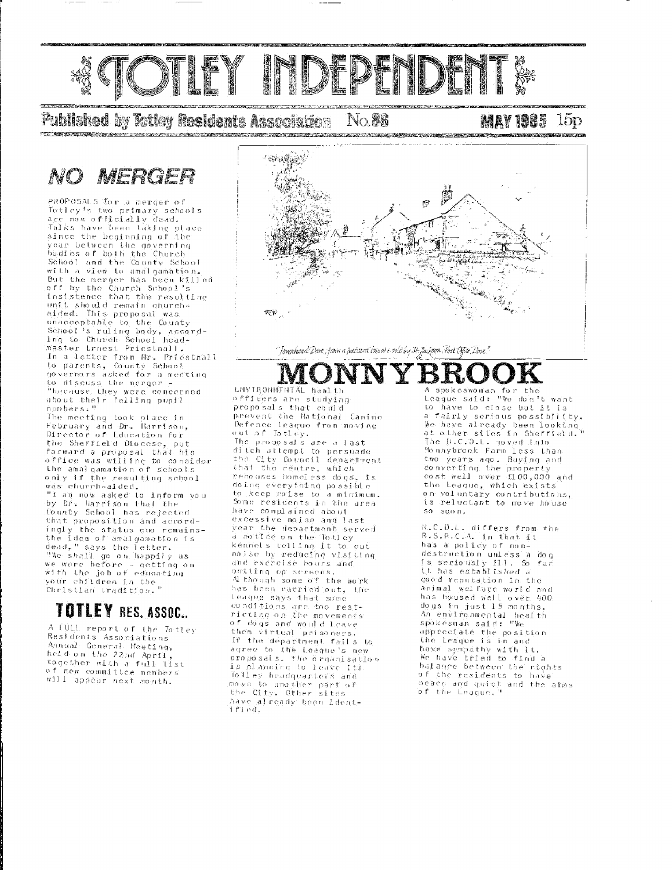Published by Totley Residents Association No. 88 <u>. The concentration of the concentration of the concentration of the concentration of the concentration of the concentration of the concentration of the concentration of the concentration of the concentration of the conce</u>

### **MAY 1985** 15p

### NO. MERGEI

PROPOSALS *tor* a merger of Totley's two primary schools<br>Totley's two primary schools<br>are now officially dead. Talks have been taking place<br>since the beginning of the year between the governing bodies of both the Church School and the County School with a view to amalgamation. But the mercer has been killed off by the Church School's insistence that the resulting unit should remain churchaided. This proposal was unacceptable to the County School's ruling body, accordmaster Lrnest Pricstnall. In a letter from Mr. Priesthall to parents, County School governors asked for a meeting to discuss the merger -"because they were concerned<br>about their falling pupil  $n$  um bers.  $\frac{m}{2}$ 

The meeting took place in February and Dr. Harrison,<br>Director of Education for the Sheffield Diocese, put forward a proposal that his office was willing to consider<br>the amalgamation of schools only if the resulting school was church-aided. was concreted<br>by Dr. Harrison that the<br>county School has rejected<br>that preposition and accord-<br>that preposition and accordrnat proposition and accord-<br>ingly the status communistration is<br>the idea of amalgamenton is<br>dead," says the letter.<br>"We shall go on happily as<br>we were before - getting on<br>with the job of educating your children in the<br>Christian Uradition."

## **TOTLEY RES. ASSOC.**

A FULL report of the Totley Residents Associations Annual General Meeting, together with a full list of new committee members will appear next month.



"Townhaad Dore, from a hadsard issued e-oold by H-Jackson. Post Office, Dore."

LNVIRONMFNTAL health officers are studying proposals that commit prevent the Mational Canine Defence league from moving out of Totley. The proposals are a last<br>ditch attempt to persuade the City Council department that the centre, which rehouses homeless doos,  $\mathbf{f}$ s doing everything possible to keep hoise to a minimum.<br>Some residents in the area have complained about excessive noise and last year the department served a hotine on the Totley. kennels telling it to cut noise by reducing visiting and exercise bours and outting up screens. Although some of the work has been carried out, the league says that some conditions are too restricting on the movements<br>of dogs and would Leave them virtual prisoners. If the department fails to agree to the League's new proposals. The organisation is planning to leave its. To they headquarters and moke to another part of<br>the City, Other sites have already been Ident-<br>ified.

spekeswoman for the League said: "We don't want to have to close but it is a fairly serious possibility. We have already been looking<br>at other sites in Sheffield.<sup>16</sup> The U.C.D.L. moved into Monnybrook Farm less than two years ago. Buying and<br>converting the property cost well over £100,000 and the League, which exists on voluntary contributions. is reluctant to move house 50 500 n.

N.C.D.L. differs from the R.S.P.C.A. in that it has a policy of nondestruction unless a doo is seciously ill. So far<br>it has established a good reputation in the asimal welfare world and has housed well over 400 dogs in just 1.8 months. An environmental health<br>spokesman said: "We appreciate the position the League is in and have sympathy with it. We have tried to find a of the residents to have seace and quick and the arms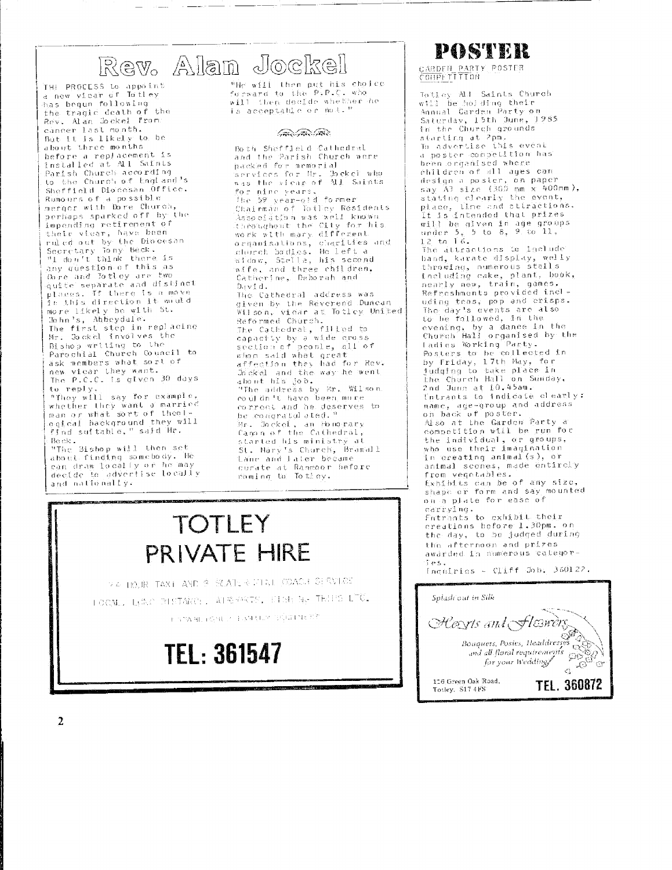## Rev. Alam Jockel

THE PROCESS to appoint<br>a new yiear of Totley has begun following the tragic death of the<br>Rev. Alan Jockel from cancer last month. Bút it is likely to be about three months isone a replacement is<br>installed at All Saints<br>Parish Church according to the Church of England's Sheffield Diocesan Office. Rumours of a possible merger with Dore Church, perhaps sparked off by the impending retirement of their vicar, have been ruled out by the Diocesan Secretary Tony Beck.<br>"1 don't think there is any question of this as Dore and Jotley are two quite separate and distinct places. If there is a move is this direction it would more likely be with St. John's, Abbeydale. The first step in replacing Mr. Jockel involves the Bishop writing to the Parochial Church Council to ask members what sort of new vicar they want. The P.C.C. is given 30 days to replv. "They will say for example, whether they want a married<br>man or what sort of theologteal background they will  $f$  and suitable, " said Mr.

Beck. "The Bishop will then set about finding somebody. He can draw local (y or he may decide to advertise locally and nationally.

then put his choice ⊕Ho will forward to the P.P.C. who will then decide whether he is acceptable or not."

#### <u>्रक्तरे इन्सरे इन्सरे </u>

Both Sheffield Cathedral and the Parish Church were backed for memorial encours is semicorate<br>services for Mr. Backel who<br>was the sicar of All Saints for nine vears. The 39 year-old former Chairman of Totley Residents Association was well known<br>Association was well known work with mary different organisations, charities and church bodies. He left a<br>widow, Stelle, his second wife, and three children, Catherine, Deborah and David. The Cathedral address was glyen by the Reverend Duncan Wilson, vicar at Totley United Merormed Unurson<br>Capacity by a wide cross<br>soction of people, all of whom said what great<br>affection they had for Revi Jockel and the way he went, about his job. "The address by Er. Wilson. coul an 't have been more correct and he deserves to be congratal ated." .<br>Mr. Dockel, an Honorary Canon of the Cathedral, stanted his ministry at St. Mary's Church, Bramall Lane and Later became cúrate at Ranmoor before roming to Tothey.

## **TOTLEY** PRIVATE HIRE

24 INVERTANT AND STREAMS FINE COACH STRYICE FOOML LONG PIETARCE. ATROPETS, ETSH BY THIS LTC. **FANABLICHEZ FANELY TOBLIKET** 

# **TEL: 361547**

**POSTER** 

CARDEN PARTY POSTER<br>COMPETITION

Totley All Saints Church<br>will be holding their<br>Annual Garden Party on Saturday, 15th June, 1985 in the Church grounds starting at 2pm,<br>To advertise this event a poster concelltion has been organised where children of all ages can design a poster, on paper<br>say A3 size (300 mm x 400mm), stating clearly the event, place, three and attractions.<br>It is intended that prizes will be glven in age groups under  $5<sub>3</sub>$  5 to 8, 9 to 11,  $12$  to  $16$ . The attractions to include band, karate display, welly throwing, numerous stalls including cake, plant, book, nearly new, train, games,<br>Refreshments provided including teas, pop and crisps. The day's events are also<br>to be followed, in the evening, by a dance in the<br>Chorch Hall organised by the Ladies Working Party. Posters to be collected in by Friday, 17th May, for judging to take place in the Church Hall on Sunday, 2nd June at  $10.45$ am. Intrants to indicate clearly: name, age-group and address name, age-group<br>Also at the Gardon Party a<br>compotition will be run for the individual, or groups,<br>who use their imagination in creating animal (s), or animal scones, made entirely from vegetables. Exhibits can be of any size, shape or form and say mounted on a plate for ease of carrying. Fatrants to exhibit their creations before 1.30pm. on the day, to be judged during the afternoon and prizes awarded in numerous categorthe ku  $f$ nquiries - Cliff Job. 360122.

Sølash out in Silk Alexus and Sleswèrg. Î.  $\begin{tabular}{c} Bouquets, Posies, Headdress \overbrace{\hspace{1em}}\circlearrowleft\hspace{1em} \cdots \\\ and all final requirements \\\ for your Wedding \end{tabular}$  $\mathbb{C}^*$ Ő. 176 Green Oak Road. **TEL. 360872** Totley, S17 4FS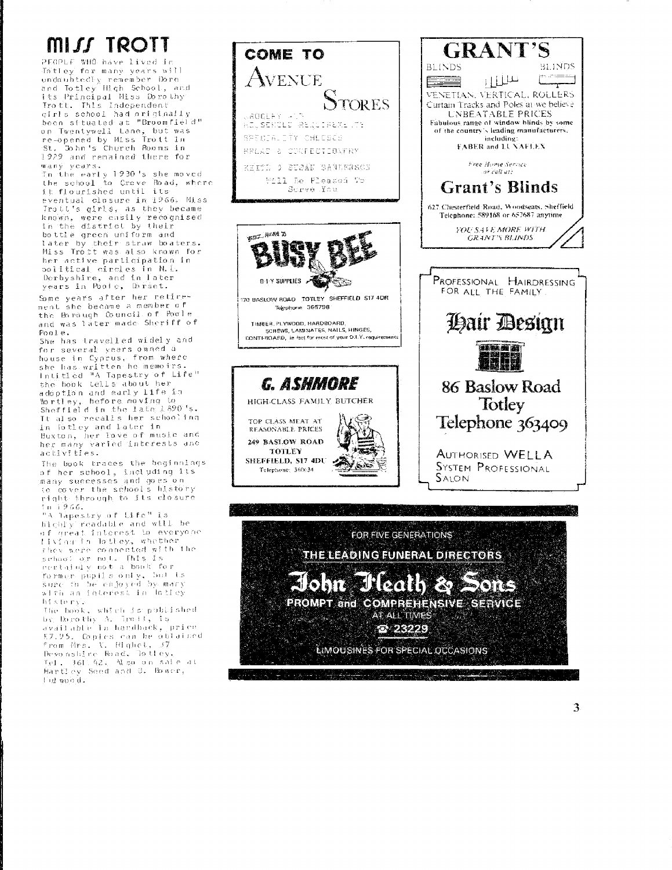## **MISS TROTT**

PEOPLF WHO have lived i. Totley for many vears will ao trey ror many years with<br>undoubtedly remember Dore<br>and Totley High School, and and the Principal Miss December<br>Trott. This Independent<br>Girls school had originally been situated at "Broomfield" on Twentywell Lane, but was re-opened by Miss Troit in 1929 and remained there for many vears.

In the early 1930's she moved the school to Crove Road, where<br>it flourished until its eventual closure in 1966. Miss Trott's girls, as they became known, were easily recognised in the district by their bottle green uniform and<br>later by their straw boaters.<br>Miss Trott was also known for her active participation in political circles in N.I. Derbyshire, and in later years in Poole, Dorset. Some years after her metirement she became a member of the Borough Council of Poole and was later made Sheriff of

Poole. She has travelled widely and for several years owned a house in Cyprus, from where she has written he memoirs Intitled "A Tapestry of Life" the book tells about her adoption and early life in Wortley, before moving to<br>Sheffield in the late 1.690 s. It also recalls her schooling in fotley and later in Buxton, her love of music and her many varied interests and activities.

The book traces the beginnings of her school, including its to cover the school's history right through to its closure  $\frac{1}{2}$  n  $\frac{1}{2}$  9.66.

"A Tapestry of Life" is highly readable and will be of great interest to everyone or great mobilise by there.<br>Tiving in Totkey, whether<br>They were connected with the school or nut. This is<br>school or nut. This is<br>certainly not a book for former pupils only, but is sure to be enjoyed by mary with an interest in thiley his to rive

The book, which is published by Rorothy A. Lroif, is available in hardback. price £7.95. Copies can be ablained From Mrs. Y. Highet, 37<br>Desonshing Road, Jotley. Tel. 361.42. Also on sale at<br>Hartley Seed and G. Rower, Ful woold.

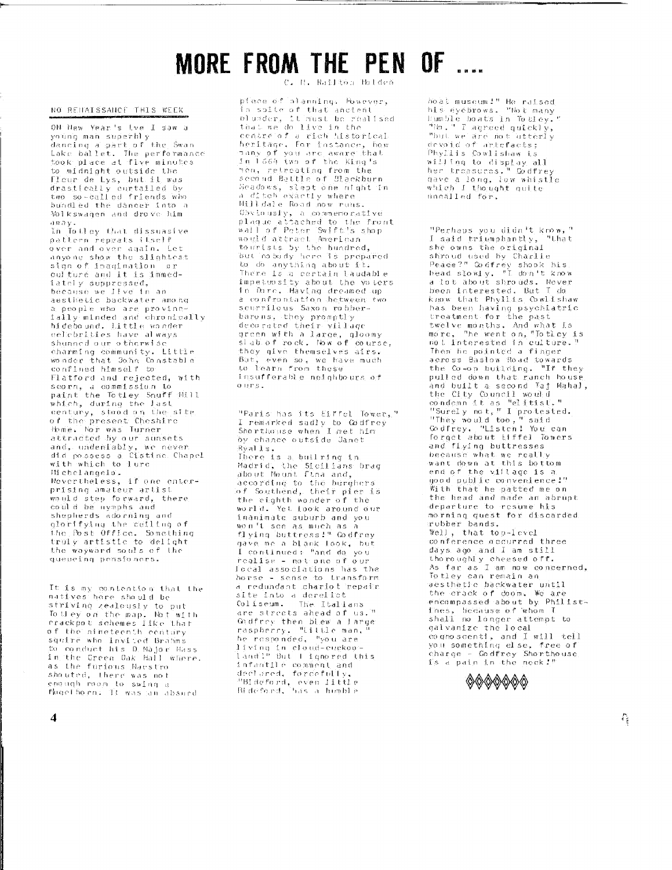# MORE FROM THE PEN OF ....

NO REHALSSANCE THIS WEEK

ON New Year's Lve I saw a young man superbly<br>dancing a part of the Swan Lake ballet. The performance took place at five minutes to midnight outside the Fleur de Lys, but it was drastically curtailed by two so-called friends who bundled the dancer into a Volkswagen and drove him away. In Totley that dissuasive pattern repeats itself<br>gver and over again. Let anyone show the slightest sign of ipagination or culture and it is immed-<br>iately suppressed, aestHetic backwater among a people who are province<br>ially minded and chronically hidebound. Little wonder celebrities have always shunned our otherwise charming community. Little wo nder that John Constable confined himself to Flatford and rejected, with scorn, a commission to<br>paint the Totley Snuff Mill which, during the last century, slood on the site of the present Cheshire Home. Nor was Turner attracted by our sunsets and, undenfably, we never<br>did possess a Cistine Chapel with which to lure Michelangelo. Nevertheless, if one enterprising amateur artist would step forward, there could be nymphs and shepherds adorning and glorifying the ceiling of<br>the Post Office. Something<br>truly artistic to delight the wayward souls of the queueing pensioners.

It is my contention that the<br>natives here should be striving zealously to put<br>To they on the map. Not with crackpot schemes like that<br>of the nineteenth century squirë who lawfied Brahms<br>to conduct his D Major Mass in the Green Oak Hall where. as the furious Naestro shouted, there was not enough room to swing a flugel horn. It was an absurd

U. Railson Molden

pface of planning. However, in spite of that ancient<br>blunder, it must be realised<br>that we do live in the centre of a rich historical<br>heritage, for instance, how many of you are aware that<br>In 1664 two of the King's in root (80 of the sing s<br>men, retreating from the<br>second Battle of Blackburn Seadows, slept one night in a dîteh exactly where. Mildale Road now runs. erricare wood now runs.<br>
Obviously, a commenced to the front<br>
plaque attached to the front<br>
wall of Poter Swift's shop<br>
would attract American round accress imerican<br>tourists by the hundred,<br>But hobedy here is prepared. to do anything about it. There is a certain laudable impetuosity about the volers to Dire. Having dreamed up a confrontation hetween two scurrilous Saxon robberbarons, they promptly decorated their village according their yielaye<br>green with a large, gloomy<br>slab of rock. Now of course, they qive themselves airs. But, even so, we have much<br>Co learn from these insufferable neighbours of ours.

"Paris has its Eiffel Tower," Transmassed to Codfrey<br>I remarked sadly to Codfrey<br>Shorthouse when I met him by chance outside Janet Ryalls. Shere is a builring in<br>Hadrid, the Sicilians brag<br>about Mount Eina and, about mours come ang,<br>according to the burghers<br>of Southend, their pier is the eighth wonder of the world. Yet took around our inanimate suburb and you won't see as much as a flying buttress!<sup>9</sup> Codfrey gave me a blank look, but I continued: "and do you .<br>realise - not one of our focal associations has the horse - sense to transform a redundant chariot repair site into a derelict The Italians Coliseum. are streets ahead of us." Godfrey then blew a larger<br>raspberry. "Little man," he responded, "vou are living in cloud-eugkoo-<br>land:" But I ignored this infantile comment and declared, forcefully, ."Bideford, even little<br>Bideford, has a humble

boat museum!" He raised<br>his eyeBrows. "Not many<br>Eumble boats in Totley."<br>"No." I agreed quickly,<br>"but we are not utterly<br>devoid of artefacts; Phyllis Cowlishaw is willing to display all<br>her treasures." Codfrey qave a long, low whistle<br>which I thought quite uncalled for.

"Perhaps you didn't know, " I said triumphantly, "that she owns the original shroud used by Charlie<br>Peace?" Qodfrey shook his.<br>head slowly, "I don't know a lot about shrouds. Never been interested. But I do know that Phyllis Cowlishaw has been having psychiatric treatment for the past twelve months. And what is<br>more, "he went on,"Totley is not interested in culture. " Then he pointed a finger aeross Baslow Road towards the Cosop building. "If they pulled down that ranch house pulled sown that ranch house.<br>and built a second 7aj Mahal,<br>the City Council would<br>condemn it as "elitist,"<br>"Surely not," I protested,<br>"They would too," said<br>Godfrey, "Listen! You can forget about Liffel Towers and flying buttresses because what we really<br>want down at this bottom end of the village is a<br>good public convenience!" With that he patted me on<br>the head and made an abrupt departure to resume his morning quest for discarded rubber bands,<br>Well, that top-level conference accurred three days ago and I am still uays ago anu i am siili<br>thoroughly cheesed off.<br>As far as I am now concerned, Totley can remain an aesthetic backwater until the crack of doom. We are<br>encompassed about by Philistthes, because of whom I<br>Shall no longer attempt to galvanize the local. cognoscenti, and I will tell you something else. free of charge - Godfrey Shorthouse<br>Is a pain in the neck!"

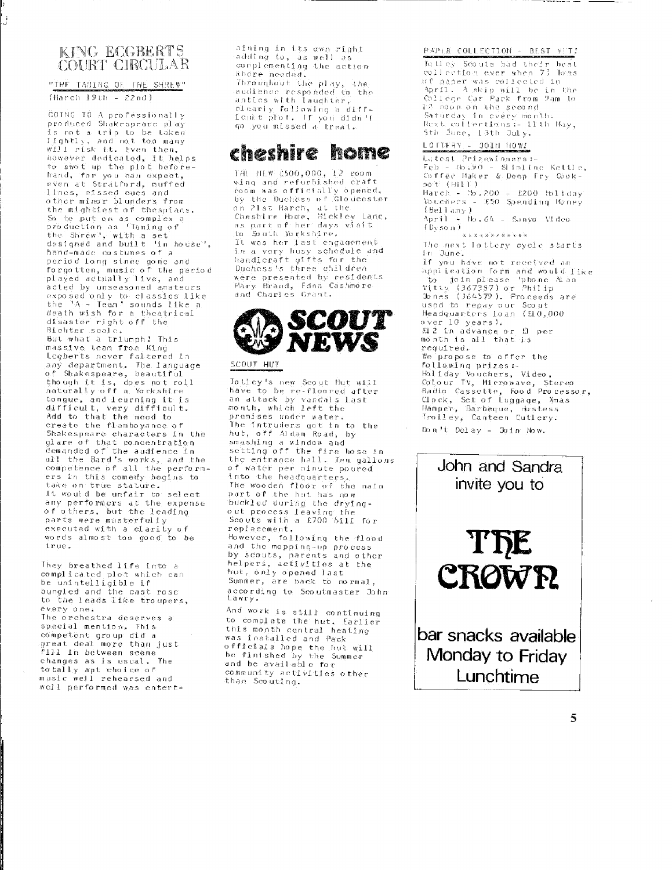### KING ECGBERTS COURT CIRCULAR

### "THE TANING OR THE SHREW"

 $(Hareh + 9kh - 22nd)$ 

COINC TO A professionally produced Shakespeare play is not a trip to be taken lightly, and not too many<br>will risk it. tven then, hard fish her tven then,<br>however dedicated, it helps<br>to swot up the plot beforehand, for you can expect, even at Stratford, muffed even at scrationa, morred<br>lines, missed cues and<br>other minor blunders from the mightiest of thesplans. So to put on as complex a<br>production as flaming of the Shrew', with a set<br>designed and built 'in house'', hand-made costumes of a period long stnce gone and forgotten, music of the period played actually live, and acted by unseasoned amateurs exposed only to classics like the 'A - Team' sounds like a death wish for a theatrical disaster right off the Richter scale.

But what a triumph! This massive team from King Legberts never faltered in any department. The language though it is, does not roll<br>naturally off a Yorkshire tongue, and learning it is<br>difficult, very difficult.<br>Add to that the need to create the flamboyance of Shakespeare characters in the clare of that concentration genanced of the audience in<br>all the Bard's works, and the<br>competence of all the performers in this comedy hegins to take on true stature. It would be unfair to select any performers at the expense of others, but the leading parts were masterfully executed with a clarity of words almost too good to be true.

They breathed life into a complicated plot which can be unintelligible if bungled and the cast rose to the leads like troupers, every one. The orchestra deserves a special mention. This competent group did a great deal more than just fill in between seene<br>changes as is usual. The to tally apt choice of music well rehearsed and well performed was entert-

aining in its own right adding to, as well as<br>complementing the action where needed. Throughout the play, the<br>audience responded to the<br>audience responded to the<br>antics with laughter, icult plot. If you didu't go you missed a treat.

### cheshire kome

THU MEW £500,000, 12 room wing and refurbished craft room was efficially opened,<br>by the Duchess of Gloucester<br>on 21st March, at the<br>Cheshire Home, Mickley Lanc,<br>as part of her days visit to South Yorkshire. It was her last engagement in a very husy schedule and<br>handicraft gifts for the<br>Duchess's three children were presented by residents<br>Mary Brand, Edna Cashmore<br>and Charles Grant.



### SCOUT HUT

To Lley's new Scout Hut will Nove to be re-flored after<br>an attack by vandals last<br>month, which left the<br>premises under water. The intruders got in to the hut, off Aldam Road, by nut, up a window and<br>setting off the fire hose in the entrance hall. Ten gallons into the headquarters. The wooden floor of the main part of the hut has now buckled during the dryingout process leaving the<br>Scouts with a £700 bill for replacement. However, following the flood

and the mopping-up process. by scouts, parents and other helpers, activities at the hut, only opened last Summer, are back to normal, according to Scoutmaster John Lawry.

And work is still continuing to complete the hut. Earlier this month central heating was installed and Pack officials hope the hut will be finished by the Summer and be available for community activities other than Scouting.

### PAPER COLLECTION - BEST YET! To they Scouts had their best collection ever when 71 Tons of paper was collected in April. A skip will be in the College Car Park from 9am to 12 noon on the second Saturday in every menth.<br>Next collections :- IIth May, 5th June, 13th July.

LOTTFRY - JOIN HOWS

Latest Prizewinners:-Feb - Jb:90 - Slimline Kettle, Coffee Maker & Denn Fry Cook-000F (HILTT) March - No. 200 - £200 Holiday  $V$ ouchers - 1850 Spending Money  $(9e1)$  amy) April ∸ No.64 - Sanγo Video  $\left(\frac{b}{\sqrt{2}}\right)$  ${\begin{array}{l} \hbox{ \end{array} }} {\begin{array}{l} \hbox{ \end{array} }} {\begin{array}{l} \hbox{ \end{array} }} {\begin{array}{l} \hbox{ \end{array} }} {\begin{array}{l} \hbox{ \end{array} }} {\begin{array}{l} \hbox{ \end{array} }} {\begin{array}{l} \hbox{ \end{array} }} {\begin{array}{l} \hbox{ \end{array} }} {\begin{array}{l} \hbox{ \end{array} }} {\begin{array}{l} \hbox{ \end{array} }} {\begin{array}{l} \hbox{ \end{array} }} {\begin{array}{l} \hbox{ \end{array} }} {\begin{array}{l} \hbox{ \end{array}$ The next lattery cycle starts In June. If you have not received an It you have not received an<br>application form and would like<br>to join please 'phone Alan<br>Vitty (367387) or Philip<br>Jones (364579). Proceeds are used to repay our Scout<br>Headquarters Loan (EL0,000 over 10 years). £12 in advance or £1 per month is all that is required. We propose to offer the following prizes :-Wittown, pitzes, Video,<br>Colour TV, Microwave, Stereo<br>Radio Cassette, Food Processor,<br>Clock, Set of Luggage, Xmas Hamper, Barbeque, rostess<br>Trolley, Canteen Cutlery.

 $\text{Dom}$ 't  $\text{Det}$ ay -  $\text{Join}$  Now.

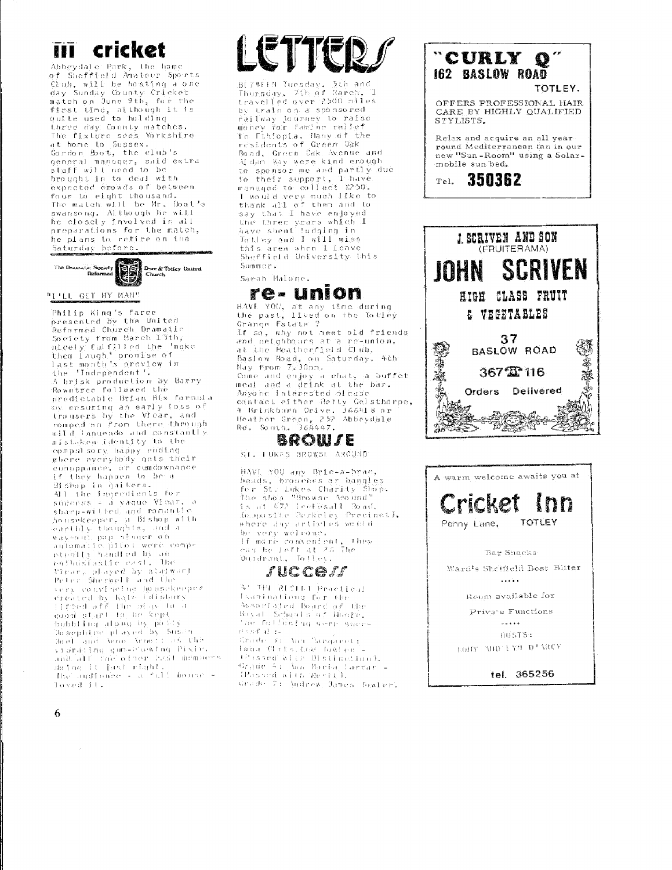## **III** cricket

Abbeydale Park, the home of Sheffield Amateur Sports Chab, will be hosting a one Chab, will be hosting a one<br>day Sunday County Cricket<br>match on June 2th, for the<br>first time, although it is<br>quite used to holding<br>three day County matches.<br>The fixture sees Yorkshire<br>the fixture sees Yorkshire<br>dathene to S expected crowds of between r.<br>four to eluht thousand, The match will be Mr. Boot's<br>swapsong. Although he will be closely involved in all preparations for the match, he plans to retire on the Saturday before.



#### "I'LL GET MY MAN"

Philip King's farce<br>presented by the United<br>Reformed Church Dramatic Society from March 13th;<br>ničely fulfilled the 'make nicery turning<br>them laugh spromise of<br>last month's preview in<br>the 'Independent'. -cae - independent -<br>A brisk production by Barry<br>Rowntree followed the predictable Brian Bix formula av ensuring an early toss of trausers by the Vicar, and romacd an from there through mild lanuendo and constantly mistaken identity to the masongo nangingay amatang<br>where everybody gets their cumuppance, ar cumdownance if they happen to be a Sishop in galters. All the ingredients for súdoéss - á vaque Vicar. a sharp-witted and romantic housekeeper, a Bishop with cartily thoughts, and a way-out pop stoner on automatic pifol were competerily handled by an entirely handled by an<br>coflusiastic cast. The<br>Winare pleased by statward Peter Sherwell and the very convincing housekeeper created by Kate Idisbury<br>| I fired off The Diay to a coord start to be kept. owen and the problem step.<br>Basephine played by Susan<br>Masephine played by Susan<br>Maclinud Anne Arnett as the<br>Maria and Anne Arnett as the<br>Maria and Anne Arnett as the inal alf rae ofner risf from been<br>daine it fust right.<br>daine it fust right. The outfining -  $a$  \*cl (  $bame$  loved it.

BLIWEEN Tuesday, Sin and<br>Thursday, Zin of March, I<br>travelled over 2500 piles by train on a sponsored by train on a sponsored<br>railway journey to raise<br>money for famine raise<br>in thiopia, Hany of the<br>residents of Green Oak<br>Road, Green Cak Ayenue and<br>Aldan Way were kind enough to spensor me and partly due to their support, Thave<br>managed to collect 2250. managed to collect E200.<br>I would very much like to<br>thank all of then and to<br>say that i have enjoyed<br>the three years which I<br>have spent lodging in To tley and I will miss nothey and a will mape<br>this area when I leave<br>Sheffield University this Summery

Sarah Malone.

### re- union

HAVE YOU, at any time during the past, lived on the Totley Grange Fstate ? Grange escate :<br>and neighbours at a re-union,<br>at the Heatherfield Club,<br>Baslow Road, on Saturday, 4th May from 7,30pm. Come and enjoy a chat, a buffet<br>meal and a drink at the bar. Anvone interested please Anyone interested biedse<br>cartact either Betty Gelsthörpe,<br>4 Brinkbarn Drive, 366418 or<br>Heather Gregn, 252 Abbeydale<br>Rd, South, 364447.

### BROW/E

ST. LUKES BROWSE AROUND

HAVL 800 any Brie-a-brac,<br>beads, brooches ar bangles for St. Lukes Charity Shop. ior put ruges charrty cho<br>The Shop "Browse Around"<br>is at 672 leekesall Boad, despective Serkelby Precinct),<br>where day artigles would be very welcome. or very weavors.<br>If mane convenient, they<br>can be left at 23 The Ouadrant, Tolley.

### *ruccen*

AT THE RIGHT Practical Inserting thong for the Associated Board of the<br>Boyal Schools of Hestel neser<br>Sie fallenfrug were spec- $\cos\theta$  al  $\pm$ Chade Fr Ann Sangarett Tagu Ciris.the Towler <sup>17</sup>rased with Matinetian?, Grade 4: Ann Macha Larvar -(Passed with Resign). Grede 7: Andres James Tomler,



OFFERS PROFESSIONAL HAIR CARE BY HIGHLY QUALIFIED STYLISTS.

Refax and acquire an all yearround Mediterranean tan in our new "Sun-Room" using a Solarmobile sun bed.

350362 Tel.



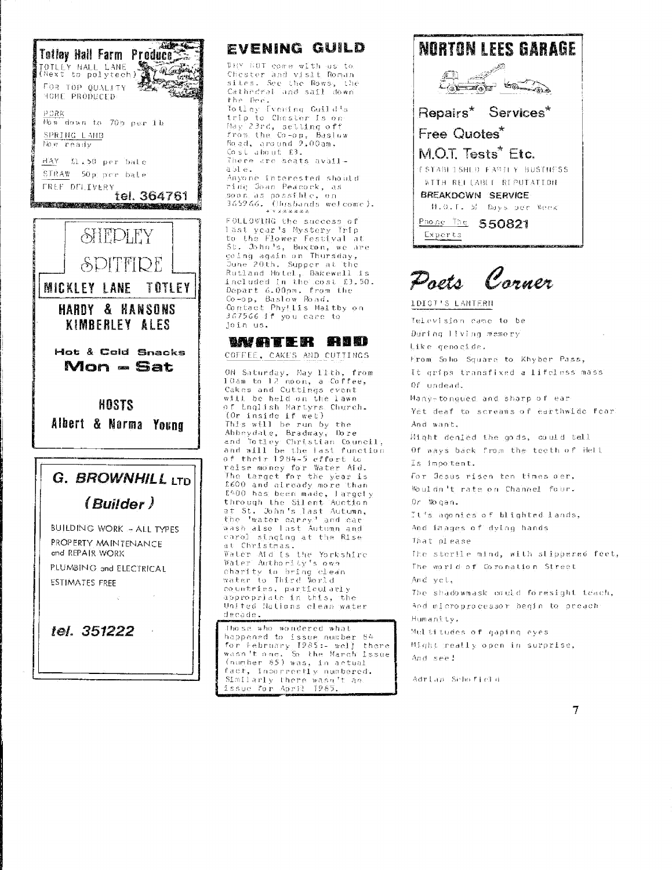



(number 85) was, in actual fact, incorrectly numbered. Similarly there wasn't am<br>issue for April 1985.

**NORTON LEES GARAGE** ع<br>محمد المحمد المحمد المحمد المحمد المحمد المحمد المحمد المحمد المحمد المحمد المحمد المحمد المحمد المحمد المحمد<br>المحمد المحمد المحمد المحمد المحمد المحمد المحمد المحمد المحمد المحمد المحمد المحمد المحمد المحمد المحمد المح  $\mathscr{F}$  $\overline{L_{\text{max}}}$  to  $\overline{L_{\text{max}}}$ Repairs\* Services\* Free Quotes\* MOT Tests<sup>\*</sup> Ftc. ESTABLISHED FANTLY BUSTNESS ATTH RELEABLE REPUTATION **BREAKDOWN SERVICE** M.O.T. 5 Days ben Week Phone The 550821 Exports

Poets Corner

*LDIOT'S LANTERN* Television came to be During living memory Like genocide. From Soho Squard to Khyber Pass, It grips transfixed a lifeless mass Of undead. Many-tongued and sharp of ear Yet deaf to screams of earthwide fear. And want. Might denied the gods, could tell Of ways back from the teeth of Hell Ts important For Jesus risen ten times oer. Wouldn't rate on Channel four. Or Wooan. It's agonies of blighted lands, And images of dying hands That olease The sterile mind, with slippered feet, The world of Coronation Street And vel. The shadowmask could foresight teach, And microprocessor begin to preach: Humantty. Multitudes of gaping eyes Might really open in surprise. And seel. Adrian Schofield 7